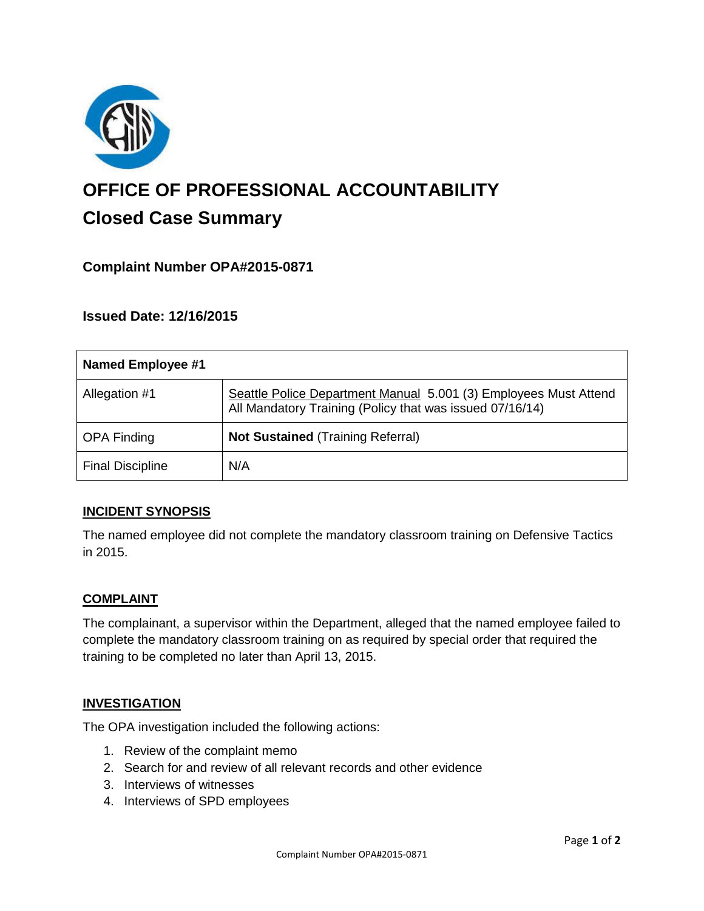

# **OFFICE OF PROFESSIONAL ACCOUNTABILITY Closed Case Summary**

# **Complaint Number OPA#2015-0871**

## **Issued Date: 12/16/2015**

| <b>Named Employee #1</b> |                                                                                                                              |
|--------------------------|------------------------------------------------------------------------------------------------------------------------------|
| Allegation #1            | Seattle Police Department Manual 5.001 (3) Employees Must Attend<br>All Mandatory Training (Policy that was issued 07/16/14) |
| <b>OPA Finding</b>       | <b>Not Sustained (Training Referral)</b>                                                                                     |
| <b>Final Discipline</b>  | N/A                                                                                                                          |

## **INCIDENT SYNOPSIS**

The named employee did not complete the mandatory classroom training on Defensive Tactics in 2015.

## **COMPLAINT**

The complainant, a supervisor within the Department, alleged that the named employee failed to complete the mandatory classroom training on as required by special order that required the training to be completed no later than April 13, 2015.

#### **INVESTIGATION**

The OPA investigation included the following actions:

- 1. Review of the complaint memo
- 2. Search for and review of all relevant records and other evidence
- 3. Interviews of witnesses
- 4. Interviews of SPD employees